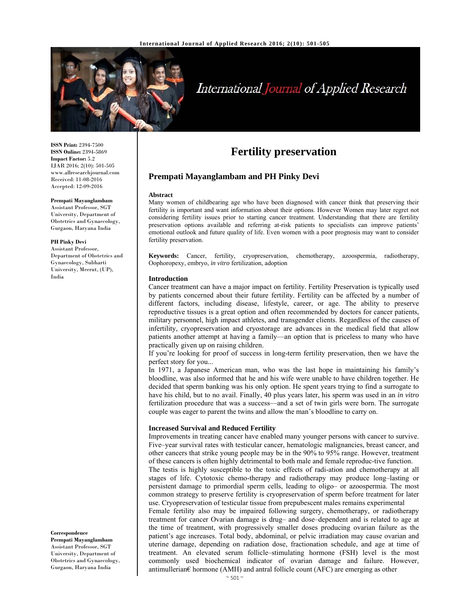

# International Journal of Applied Research

**ISSN Print:** 2394-7500 **ISSN Online:** 2394-5869 **Impact Factor:** 5.2 IJAR 2016; 2(10): 501-505 www.allresearchjournal.com Received: 11-08-2016 Accepted: 12-09-2016

# **Prempati Mayanglambam**

Assistant Professor, SGT University, Department of Obstetrics and Gynaecology, Gurgaon, Haryana India

**PH Pinky Devi** 

Assistant Professor, Department of Obstetrics and Gynaecology, Subharti University, Meerut, (UP), India

**Correspondence**

**Prempati Mayanglambam**  Assistant Professor, SGT University, Department of Obstetrics and Gynaecology, Gurgaon, Haryana India

# **Fertility preservation**

# **Prempati Mayanglambam and PH Pinky Devi**

#### **Abstract**

Many women of childbearing age who have been diagnosed with cancer think that preserving their fertility is important and want information about their options. However Women may later regret not considering fertility issues prior to starting cancer treatment. Understanding that there are fertility preservation options available and referring at-risk patients to specialists can improve patients' emotional outlook and future quality of life. Even women with a poor prognosis may want to consider fertility preservation.

**Keywords:** Cancer, fertility, cryopreservation, chemotherapy, azoospermia, radiotherapy, Oophoropexy, embryo, *in vitro* fertilization, adoption

#### **Introduction**

Cancer treatment can have a major impact on fertility. Fertility Preservation is typically used by patients concerned about their future fertility. Fertility can be affected by a number of different factors, including disease, lifestyle, career, or age. The ability to preserve reproductive tissues is a great option and often recommended by doctors for cancer patients, military personnel, high impact athletes, and transgender clients. Regardless of the causes of infertility, cryopreservation and cryostorage are advances in the medical field that allow patients another attempt at having a family—an option that is priceless to many who have practically given up on raising children.

If you're looking for proof of success in long-term fertility preservation, then we have the perfect story for you...

In 1971, a Japanese American man, who was the last hope in maintaining his family's bloodline, was also informed that he and his wife were unable to have children together. He decided that sperm banking was his only option. He spent years trying to find a surrogate to have his child, but to no avail. Finally, 40 plus years later, his sperm was used in an *in vitro* fertilization procedure that was a success—and a set of twin girls were born. The surrogate couple was eager to parent the twins and allow the man's bloodline to carry on.

#### **Increased Survival and Reduced Fertility**

Improvements in treating cancer have enabled many younger persons with cancer to survive. Five–year survival rates with testicular cancer, hematologic malignancies, breast cancer, and other cancers that strike young people may be in the 90% to 95% range. However, treatment of these cancers is often highly detrimental to both male and female reproduc-tive function.

The testis is highly susceptible to the toxic effects of radi-ation and chemotherapy at all stages of life. Cytotoxic chemo-therapy and radiotherapy may produce long–lasting or persistent damage to primordial sperm cells, leading to oligo– or azoospermia. The most common strategy to preserve fertility is cryopreservation of sperm before treatment for later use. Cryopreservation of testicular tissue from prepubescent males remains experimental

Female fertility also may be impaired following surgery, chemotherapy, or radiotherapy treatment for cancer Ovarian damage is drug– and dose–dependent and is related to age at the time of treatment, with progressively smaller doses producing ovarian failure as the patient's age increases. Total body, abdominal, or pelvic irradiation may cause ovarian and uterine damage, depending on radiation dose, fractionation schedule, and age at time of treatment. An elevated serum follicle–stimulating hormone (FSH) level is the most commonly used biochemical indicator of ovarian damage and failure. However, antimullerian€ hormone (AMH) and antral follicle count (AFC) are emerging as other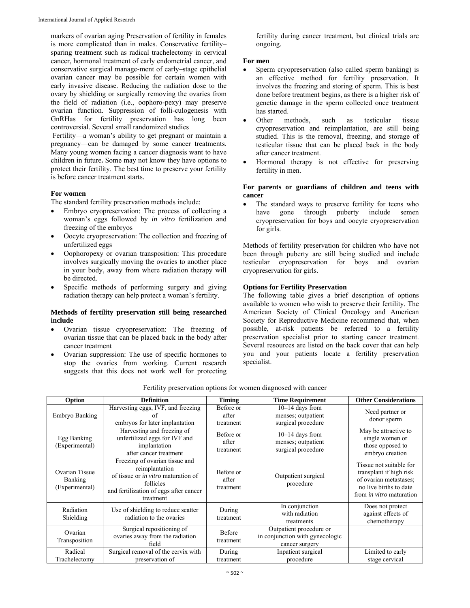markers of ovarian aging Preservation of fertility in females is more complicated than in males. Conservative fertility– sparing treatment such as radical trachelectomy in cervical cancer, hormonal treatment of early endometrial cancer, and conservative surgical manage-ment of early–stage epithelial ovarian cancer may be possible for certain women with early invasive disease. Reducing the radiation dose to the ovary by shielding or surgically removing the ovaries from the field of radiation (i.e., oophoro-pexy) may preserve ovarian function. Suppression of folli-culogenesis with GnRHas for fertility preservation has long been controversial. Several small randomized studies

 Fertility—a woman's ability to get pregnant or maintain a pregnancy—can be damaged by some cancer treatments. Many young women facing a cancer diagnosis want to have children in future**.** Some may not know they have options to protect their fertility. The best time to preserve your fertility is before cancer treatment starts.

#### **For women**

The standard fertility preservation methods include:

- Embryo cryopreservation: The process of collecting a woman's eggs followed by *in vitro* fertilization and freezing of the embryos
- Oocyte cryopreservation: The collection and freezing of unfertilized eggs
- Oophoropexy or ovarian transposition: This procedure involves surgically moving the ovaries to another place in your body, away from where radiation therapy will be directed.
- Specific methods of performing surgery and giving radiation therapy can help protect a woman's fertility.

#### **Methods of fertility preservation still being researched include**

- Ovarian tissue cryopreservation: The freezing of ovarian tissue that can be placed back in the body after cancer treatment
- Ovarian suppression: The use of specific hormones to stop the ovaries from working. Current research suggests that this does not work well for protecting

fertility during cancer treatment, but clinical trials are ongoing.

#### **For men**

- Sperm cryopreservation (also called sperm banking) is an effective method for fertility preservation. It involves the freezing and storing of sperm. This is best done before treatment begins, as there is a higher risk of genetic damage in the sperm collected once treatment has started.
- Other methods, such as testicular tissue cryopreservation and reimplantation, are still being studied. This is the removal, freezing, and storage of testicular tissue that can be placed back in the body after cancer treatment.
- Hormonal therapy is not effective for preserving fertility in men.

#### **For parents or guardians of children and teens with cancer**

 The standard ways to preserve fertility for teens who have gone through puberty include semen cryopreservation for boys and oocyte cryopreservation for girls.

Methods of fertility preservation for children who have not been through puberty are still being studied and include testicular cryopreservation for boys and ovarian cryopreservation for girls.

# **Options for Fertility Preservation**

The following table gives a brief description of options available to women who wish to preserve their fertility. The American Society of Clinical Oncology and American Society for Reproductive Medicine recommend that, when possible, at-risk patients be referred to a fertility preservation specialist prior to starting cancer treatment. Several resources are listed on the back cover that can help you and your patients locate a fertility preservation specialist.

| Option                                      | <b>Definition</b>                                                                                                                                                  | Timing                          | <b>Time Requirement</b>                                                      | <b>Other Considerations</b>                                                                                                               |
|---------------------------------------------|--------------------------------------------------------------------------------------------------------------------------------------------------------------------|---------------------------------|------------------------------------------------------------------------------|-------------------------------------------------------------------------------------------------------------------------------------------|
| Embryo Banking                              | Harvesting eggs, IVF, and freezing<br>of<br>embryos for later implantation                                                                                         | Before or<br>after<br>treatment | $10-14$ days from<br>menses; outpatient<br>surgical procedure                | Need partner or<br>donor sperm                                                                                                            |
| Egg Banking<br>(Experimental)               | Harvesting and freezing of<br>unfertilized eggs for IVF and<br>implantation<br>after cancer treatment                                                              | Before or<br>after<br>treatment | $10-14$ days from<br>menses; outpatient<br>surgical procedure                | May be attractive to<br>single women or<br>those opposed to<br>embryo creation                                                            |
| Ovarian Tissue<br>Banking<br>(Experimental) | Freezing of ovarian tissue and<br>reimplantation<br>of tissue or <i>in vitro</i> maturation of<br>follicles<br>and fertilization of eggs after cancer<br>treatment | Before or<br>after<br>treatment | Outpatient surgical<br>procedure                                             | Tissue not suitable for<br>transplant if high risk<br>of ovarian metastases;<br>no live births to date<br>from <i>in vitro</i> maturation |
| Radiation<br>Shielding                      | Use of shielding to reduce scatter<br>radiation to the ovaries                                                                                                     | During<br>treatment             | In conjunction<br>with radiation<br>treatments                               | Does not protect<br>against effects of<br>chemotherapy                                                                                    |
| Ovarian<br>Transposition                    | Surgical repositioning of<br>ovaries away from the radiation<br>field                                                                                              | Before<br>treatment             | Outpatient procedure or<br>in conjunction with gynecologic<br>cancer surgery |                                                                                                                                           |
| Radical<br>Trachelectomy                    | Surgical removal of the cervix with<br>preservation of                                                                                                             | During<br>treatment             | Inpatient surgical<br>procedure                                              | Limited to early<br>stage cervical                                                                                                        |

Fertility preservation options for women diagnosed with cancer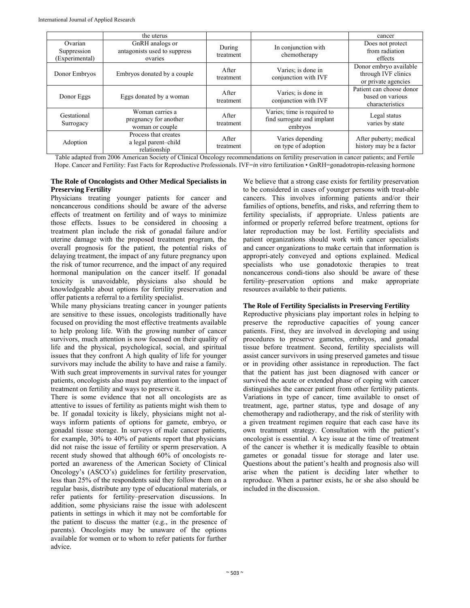|                                          | the uterus                                                   |                     |                                                                      | cancer                                                               |
|------------------------------------------|--------------------------------------------------------------|---------------------|----------------------------------------------------------------------|----------------------------------------------------------------------|
| Ovarian<br>Suppression<br>(Experimental) | GnRH analogs or<br>antagonists used to suppress<br>ovaries   | During<br>treatment | In conjunction with<br>chemotherapy                                  | Does not protect<br>from radiation<br>effects                        |
| Donor Embryos                            | Embryos donated by a couple                                  | After<br>treatment  | Varies; is done in<br>conjunction with IVF                           | Donor embryo available<br>through IVF clinics<br>or private agencies |
| Donor Eggs                               | Eggs donated by a woman                                      | A fter<br>treatment | Varies; is done in<br>conjunction with IVF                           | Patient can choose donor<br>based on various<br>characteristics      |
| Gestational<br>Surrogacy                 | Woman carries a<br>pregnancy for another<br>woman or couple  | After<br>treatment  | Varies; time is required to<br>find surrogate and implant<br>embryos | Legal status<br>varies by state                                      |
| Adoption                                 | Process that creates<br>a legal parent-child<br>relationship | After<br>treatment  | Varies depending<br>on type of adoption                              | After puberty; medical<br>history may be a factor                    |

Table adapted from 2006 American Society of Clinical Oncology recommendations on fertility preservation in cancer patients; and Fertile Hope. Cancer and Fertility: Fast Facts for Reproductive Professionals. IVF=*in vitro* fertilization • GnRH=gonadotropin-releasing hormone

# **The Role of Oncologists and Other Medical Specialists in Preserving Fertility**

Physicians treating younger patients for cancer and noncancerous conditions should be aware of the adverse effects of treatment on fertility and of ways to minimize those effects. Issues to be considered in choosing a treatment plan include the risk of gonadal failure and/or uterine damage with the proposed treatment program, the overall prognosis for the patient, the potential risks of delaying treatment, the impact of any future pregnancy upon the risk of tumor recurrence, and the impact of any required hormonal manipulation on the cancer itself. If gonadal toxicity is unavoidable, physicians also should be knowledgeable about options for fertility preservation and offer patients a referral to a fertility specialist.

While many physicians treating cancer in younger patients are sensitive to these issues, oncologists traditionally have focused on providing the most effective treatments available to help prolong life. With the growing number of cancer survivors, much attention is now focused on their quality of life and the physical, psychological, social, and spiritual issues that they confront A high quality of life for younger survivors may include the ability to have and raise a family. With such great improvements in survival rates for younger patients, oncologists also must pay attention to the impact of treatment on fertility and ways to preserve it.

There is some evidence that not all oncologists are as attentive to issues of fertility as patients might wish them to be. If gonadal toxicity is likely, physicians might not always inform patients of options for gamete, embryo, or gonadal tissue storage. In surveys of male cancer patients, for example, 30% to 40% of patients report that physicians did not raise the issue of fertility or sperm preservation. A recent study showed that although 60% of oncologists reported an awareness of the American Society of Clinical Oncology's (ASCO's) guidelines for fertility preservation, less than 25% of the respondents said they follow them on a regular basis, distribute any type of educational materials, or refer patients for fertility–preservation discussions. In addition, some physicians raise the issue with adolescent patients in settings in which it may not be comfortable for the patient to discuss the matter (e.g., in the presence of parents). Oncologists may be unaware of the options available for women or to whom to refer patients for further advice.

We believe that a strong case exists for fertility preservation to be considered in cases of younger persons with treat-able cancers. This involves informing patients and/or their families of options, benefits, and risks, and referring them to fertility specialists, if appropriate. Unless patients are informed or properly referred before treatment, options for later reproduction may be lost. Fertility specialists and patient organizations should work with cancer specialists and cancer organizations to make certain that information is appropri-ately conveyed and options explained. Medical specialists who use gonadotoxic therapies to treat noncancerous condi-tions also should be aware of these fertility–preservation options and make appropriate resources available to their patients.

# **The Role of Fertility Specialists in Preserving Fertility**

Reproductive physicians play important roles in helping to preserve the reproductive capacities of young cancer patients. First, they are involved in developing and using procedures to preserve gametes, embryos, and gonadal tissue before treatment. Second, fertility specialists will assist cancer survivors in using preserved gametes and tissue or in providing other assistance in reproduction. The fact that the patient has just been diagnosed with cancer or survived the acute or extended phase of coping with cancer distinguishes the cancer patient from other fertility patients. Variations in type of cancer, time available to onset of treatment, age, partner status, type and dosage of any chemotherapy and radiotherapy, and the risk of sterility with a given treatment regimen require that each case have its own treatment strategy. Consultation with the patient's oncologist is essential. A key issue at the time of treatment of the cancer is whether it is medically feasible to obtain gametes or gonadal tissue for storage and later use. Questions about the patient's health and prognosis also will arise when the patient is deciding later whether to reproduce. When a partner exists, he or she also should be included in the discussion.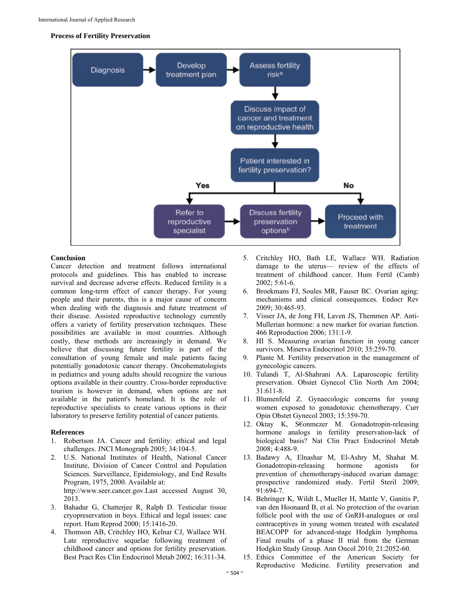# **Process of Fertility Preservation**



#### **Conclusion**

Cancer detection and treatment follows international protocols and guidelines. This has enabled to increase survival and decrease adverse effects. Reduced fertility is a common long-term effect of cancer therapy. For young people and their parents, this is a major cause of concern when dealing with the diagnosis and future treatment of their disease. Assisted reproductive technology currently offers a variety of fertility preservation techniques. These possibilities are available in most countries. Although costly, these methods are increasingly in demand. We believe that discussing future fertility is part of the consultation of young female and male patients facing potentially gonadotoxic cancer therapy. Oncohematologists in pediatrics and young adults should recognize the various options available in their country. Cross-border reproductive tourism is however in demand, when options are not available in the patient's homeland. It is the role of reproductive specialists to create various options in their laboratory to preserve fertility potential of cancer patients.

# **References**

- 1. Robertson JA. Cancer and fertility: ethical and legal challenges. JNCI Monograph 2005; 34:104-5.
- 2. U.S. National Institutes of Health, National Cancer Institute, Division of Cancer Control and Population Sciences. Surveillance, Epidemiology, and End Results Program, 1975, 2000. Available at: http://www.seer.cancer.gov.Last accessed August 30, 2013.
- 3. Bahadur G, Chatterjee R, Ralph D. Testicular tissue cryopreservation in boys. Ethical and legal issues: case report. Hum Reprod 2000; 15:1416-20.
- 4. Thomson AB, Critchley HO, Kelnar CJ, Wallace WH. Late reproductive sequelae following treatment of childhood cancer and options for fertility preservation. Best Pract Res Clin Endocrinol Metab 2002; 16:311-34.
- 5. Critchley HO, Bath LE, Wallace WH. Radiation damage to the uterus— review of the effects of treatment of childhood cancer. Hum Fertil (Camb) 2002; 5:61-6.
- 6. Broekmans FJ, Soules MR, Fauser BC. Ovarian aging: mechanisms and clinical consequences. Endocr Rev 2009; 30:465-93.
- 7. Visser JA, de Jong FH, Laven JS, Themmen AP. Anti-Mullerian hormone: a new marker for ovarian function. 466 Reproduction 2006; 131:1-9.
- 8. HI S. Measuring ovarian function in young cancer survivors. Minerva Endocrinol 2010; 35:259-70.
- 9. Plante M. Fertility preservation in the management of gynecologic cancers.
- 10. Tulandi T, Al-Shahrani AA. Laparoscopic fertility preservation. Obstet Gynecol Clin North Am 2004; 31:611-8.
- 11. Blumenfeld Z. Gynaecologic concerns for young women exposed to gonadotoxic chemotherapy. Curr Opin Obstet Gynecol 2003; 15:359-70.
- 12. Oktay K, S€onmezer M. Gonadotropin-releasing hormone analogs in fertility preservation-lack of biological basis? Nat Clin Pract Endocrinol Metab 2008; 4:488-9.
- 13. Badawy A, Elnashar M, El-Ashry M, Shahat M. Gonadotropin-releasing hormone agonists for prevention of chemotherapy-induced ovarian damage: prospective randomized study. Fertil Steril 2009; 91:694-7.
- 14. Behringer K, Wildt L, Mueller H, Mattle V, Ganitis P, van den Hoonaard B, et al. No protection of the ovarian follicle pool with the use of GnRH-analogues or oral contraceptives in young women treated with escalated BEACOPP for advanced-stage Hodgkin lymphoma. Final results of a phase II trial from the German Hodgkin Study Group. Ann Oncol 2010; 21:2052-60.
- 15. Ethics Committee of the American Society for Reproductive Medicine. Fertility preservation and